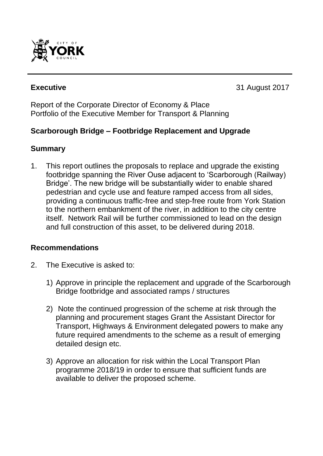

**Executive** 31 August 2017

Report of the Corporate Director of Economy & Place Portfolio of the Executive Member for Transport & Planning

# **Scarborough Bridge – Footbridge Replacement and Upgrade**

#### **Summary**

1. This report outlines the proposals to replace and upgrade the existing footbridge spanning the River Ouse adjacent to 'Scarborough (Railway) Bridge'. The new bridge will be substantially wider to enable shared pedestrian and cycle use and feature ramped access from all sides, providing a continuous traffic-free and step-free route from York Station to the northern embankment of the river, in addition to the city centre itself. Network Rail will be further commissioned to lead on the design and full construction of this asset, to be delivered during 2018.

#### **Recommendations**

- 2. The Executive is asked to:
	- 1) Approve in principle the replacement and upgrade of the Scarborough Bridge footbridge and associated ramps / structures
	- 2) Note the continued progression of the scheme at risk through the planning and procurement stages Grant the Assistant Director for Transport, Highways & Environment delegated powers to make any future required amendments to the scheme as a result of emerging detailed design etc.
	- 3) Approve an allocation for risk within the Local Transport Plan programme 2018/19 in order to ensure that sufficient funds are available to deliver the proposed scheme.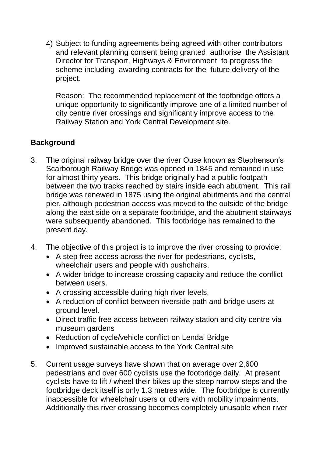4) Subject to funding agreements being agreed with other contributors and relevant planning consent being granted authorise the Assistant Director for Transport, Highways & Environment to progress the scheme including awarding contracts for the future delivery of the project.

Reason: The recommended replacement of the footbridge offers a unique opportunity to significantly improve one of a limited number of city centre river crossings and significantly improve access to the Railway Station and York Central Development site.

# **Background**

- 3. The original railway bridge over the river Ouse known as Stephenson's Scarborough Railway Bridge was opened in 1845 and remained in use for almost thirty years. This bridge originally had a public footpath between the two tracks reached by stairs inside each abutment. This rail bridge was renewed in 1875 using the original abutments and the central pier, although pedestrian access was moved to the outside of the bridge along the east side on a separate footbridge, and the abutment stairways were subsequently abandoned. This footbridge has remained to the present day.
- 4. The objective of this project is to improve the river crossing to provide:
	- A step free access across the river for pedestrians, cyclists, wheelchair users and people with pushchairs.
	- A wider bridge to increase crossing capacity and reduce the conflict between users.
	- A crossing accessible during high river levels.
	- A reduction of conflict between riverside path and bridge users at ground level.
	- Direct traffic free access between railway station and city centre via museum gardens
	- Reduction of cycle/vehicle conflict on Lendal Bridge
	- Improved sustainable access to the York Central site
- 5. Current usage surveys have shown that on average over 2,600 pedestrians and over 600 cyclists use the footbridge daily. At present cyclists have to lift / wheel their bikes up the steep narrow steps and the footbridge deck itself is only 1.3 metres wide. The footbridge is currently inaccessible for wheelchair users or others with mobility impairments. Additionally this river crossing becomes completely unusable when river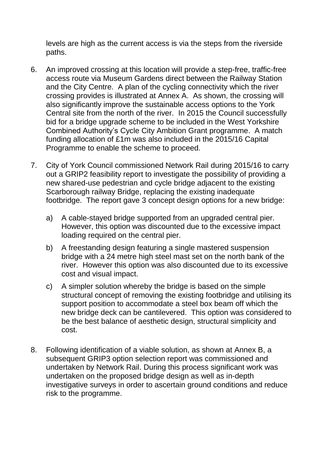levels are high as the current access is via the steps from the riverside paths.

- 6. An improved crossing at this location will provide a step-free, traffic-free access route via Museum Gardens direct between the Railway Station and the City Centre. A plan of the cycling connectivity which the river crossing provides is illustrated at Annex A. As shown, the crossing will also significantly improve the sustainable access options to the York Central site from the north of the river. In 2015 the Council successfully bid for a bridge upgrade scheme to be included in the West Yorkshire Combined Authority's Cycle City Ambition Grant programme. A match funding allocation of £1m was also included in the 2015/16 Capital Programme to enable the scheme to proceed.
- 7. City of York Council commissioned Network Rail during 2015/16 to carry out a GRIP2 feasibility report to investigate the possibility of providing a new shared-use pedestrian and cycle bridge adjacent to the existing Scarborough railway Bridge, replacing the existing inadequate footbridge. The report gave 3 concept design options for a new bridge:
	- a) A cable-stayed bridge supported from an upgraded central pier. However, this option was discounted due to the excessive impact loading required on the central pier.
	- b) A freestanding design featuring a single mastered suspension bridge with a 24 metre high steel mast set on the north bank of the river. However this option was also discounted due to its excessive cost and visual impact.
	- c) A simpler solution whereby the bridge is based on the simple structural concept of removing the existing footbridge and utilising its support position to accommodate a steel box beam off which the new bridge deck can be cantilevered. This option was considered to be the best balance of aesthetic design, structural simplicity and cost.
- 8. Following identification of a viable solution, as shown at Annex B, a subsequent GRIP3 option selection report was commissioned and undertaken by Network Rail. During this process significant work was undertaken on the proposed bridge design as well as in-depth investigative surveys in order to ascertain ground conditions and reduce risk to the programme.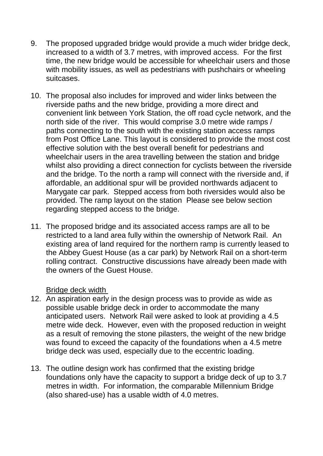- 9. The proposed upgraded bridge would provide a much wider bridge deck, increased to a width of 3.7 metres, with improved access. For the first time, the new bridge would be accessible for wheelchair users and those with mobility issues, as well as pedestrians with pushchairs or wheeling suitcases.
- 10. The proposal also includes for improved and wider links between the riverside paths and the new bridge, providing a more direct and convenient link between York Station, the off road cycle network, and the north side of the river. This would comprise 3.0 metre wide ramps / paths connecting to the south with the existing station access ramps from Post Office Lane. This layout is considered to provide the most cost effective solution with the best overall benefit for pedestrians and wheelchair users in the area travelling between the station and bridge whilst also providing a direct connection for cyclists between the riverside and the bridge. To the north a ramp will connect with the riverside and, if affordable, an additional spur will be provided northwards adjacent to Marygate car park. Stepped access from both riversides would also be provided. The ramp layout on the station Please see below section regarding stepped access to the bridge.
- 11. The proposed bridge and its associated access ramps are all to be restricted to a land area fully within the ownership of Network Rail. An existing area of land required for the northern ramp is currently leased to the Abbey Guest House (as a car park) by Network Rail on a short-term rolling contract. Constructive discussions have already been made with the owners of the Guest House.

Bridge deck width

- 12. An aspiration early in the design process was to provide as wide as possible usable bridge deck in order to accommodate the many anticipated users. Network Rail were asked to look at providing a 4.5 metre wide deck. However, even with the proposed reduction in weight as a result of removing the stone pilasters, the weight of the new bridge was found to exceed the capacity of the foundations when a 4.5 metre bridge deck was used, especially due to the eccentric loading.
- 13. The outline design work has confirmed that the existing bridge foundations only have the capacity to support a bridge deck of up to 3.7 metres in width. For information, the comparable Millennium Bridge (also shared-use) has a usable width of 4.0 metres.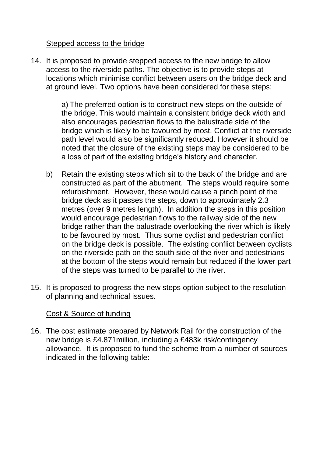#### Stepped access to the bridge

14. It is proposed to provide stepped access to the new bridge to allow access to the riverside paths. The objective is to provide steps at locations which minimise conflict between users on the bridge deck and at ground level. Two options have been considered for these steps:

> a) The preferred option is to construct new steps on the outside of the bridge. This would maintain a consistent bridge deck width and also encourages pedestrian flows to the balustrade side of the bridge which is likely to be favoured by most. Conflict at the riverside path level would also be significantly reduced. However it should be noted that the closure of the existing steps may be considered to be a loss of part of the existing bridge's history and character.

- b) Retain the existing steps which sit to the back of the bridge and are constructed as part of the abutment. The steps would require some refurbishment. However, these would cause a pinch point of the bridge deck as it passes the steps, down to approximately 2.3 metres (over 9 metres length). In addition the steps in this position would encourage pedestrian flows to the railway side of the new bridge rather than the balustrade overlooking the river which is likely to be favoured by most. Thus some cyclist and pedestrian conflict on the bridge deck is possible. The existing conflict between cyclists on the riverside path on the south side of the river and pedestrians at the bottom of the steps would remain but reduced if the lower part of the steps was turned to be parallel to the river.
- 15. It is proposed to progress the new steps option subject to the resolution of planning and technical issues.

#### Cost & Source of funding

16. The cost estimate prepared by Network Rail for the construction of the new bridge is £4.871million, including a £483k risk/contingency allowance. It is proposed to fund the scheme from a number of sources indicated in the following table: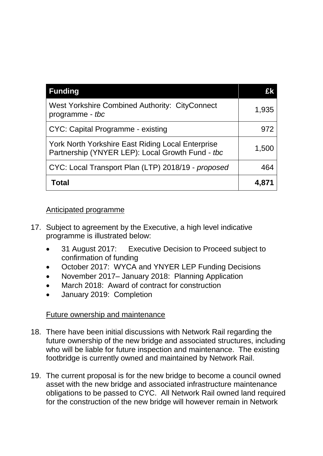| <b>Funding</b>                                                                                        | £k    |
|-------------------------------------------------------------------------------------------------------|-------|
| West Yorkshire Combined Authority: CityConnect<br>programme - tbc                                     | 1,935 |
| CYC: Capital Programme - existing                                                                     | 972   |
| York North Yorkshire East Riding Local Enterprise<br>Partnership (YNYER LEP): Local Growth Fund - tbc | 1,500 |
| CYC: Local Transport Plan (LTP) 2018/19 - proposed                                                    | 464   |
| <b>Total</b>                                                                                          | 4,871 |

#### Anticipated programme

- 17. Subject to agreement by the Executive, a high level indicative programme is illustrated below:
	- 31 August 2017: Executive Decision to Proceed subject to confirmation of funding
	- October 2017: WYCA and YNYER LEP Funding Decisions
	- November 2017– January 2018: Planning Application
	- March 2018: Award of contract for construction
	- January 2019: Completion

# Future ownership and maintenance

- 18. There have been initial discussions with Network Rail regarding the future ownership of the new bridge and associated structures, including who will be liable for future inspection and maintenance. The existing footbridge is currently owned and maintained by Network Rail.
- 19. The current proposal is for the new bridge to become a council owned asset with the new bridge and associated infrastructure maintenance obligations to be passed to CYC. All Network Rail owned land required for the construction of the new bridge will however remain in Network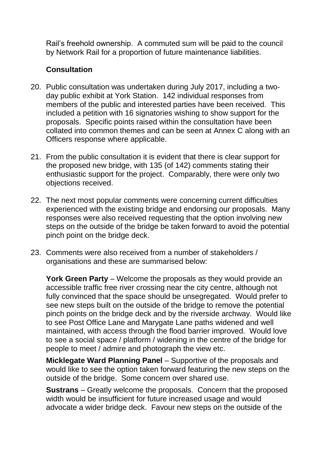Rail's freehold ownership. A commuted sum will be paid to the council by Network Rail for a proportion of future maintenance liabilities.

# **Consultation**

- 20. Public consultation was undertaken during July 2017, including a twoday public exhibit at York Station. 142 individual responses from members of the public and interested parties have been received. This included a petition with 16 signatories wishing to show support for the proposals. Specific points raised within the consultation have been collated into common themes and can be seen at Annex C along with an Officers response where applicable.
- 21. From the public consultation it is evident that there is clear support for the proposed new bridge, with 135 (of 142) comments stating their enthusiastic support for the project. Comparably, there were only two objections received.
- 22. The next most popular comments were concerning current difficulties experienced with the existing bridge and endorsing our proposals. Many responses were also received requesting that the option involving new steps on the outside of the bridge be taken forward to avoid the potential pinch point on the bridge deck.
- 23. Comments were also received from a number of stakeholders / organisations and these are summarised below:

**York Green Party** – Welcome the proposals as they would provide an accessible traffic free river crossing near the city centre, although not fully convinced that the space should be unsegregated. Would prefer to see new steps built on the outside of the bridge to remove the potential pinch points on the bridge deck and by the riverside archway. Would like to see Post Office Lane and Marygate Lane paths widened and well maintained, with access through the flood barrier improved. Would love to see a social space / platform / widening in the centre of the bridge for people to meet / admire and photograph the view etc.

**Micklegate Ward Planning Panel** – Supportive of the proposals and would like to see the option taken forward featuring the new steps on the outside of the bridge. Some concern over shared use.

**Sustrans** – Greatly welcome the proposals. Concern that the proposed width would be insufficient for future increased usage and would advocate a wider bridge deck. Favour new steps on the outside of the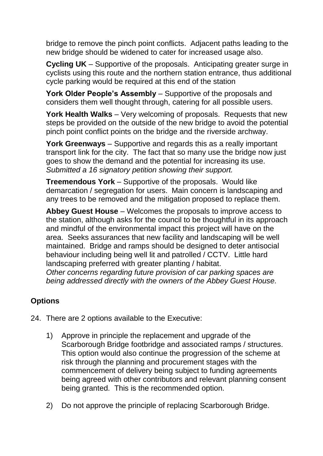bridge to remove the pinch point conflicts. Adjacent paths leading to the new bridge should be widened to cater for increased usage also.

**Cycling UK** – Supportive of the proposals. Anticipating greater surge in cyclists using this route and the northern station entrance, thus additional cycle parking would be required at this end of the station

**York Older People's Assembly** – Supportive of the proposals and considers them well thought through, catering for all possible users.

**York Health Walks** – Very welcoming of proposals. Requests that new steps be provided on the outside of the new bridge to avoid the potential pinch point conflict points on the bridge and the riverside archway.

**York Greenways** – Supportive and regards this as a really important transport link for the city. The fact that so many use the bridge now just goes to show the demand and the potential for increasing its use. *Submitted a 16 signatory petition showing their support.*

**Treemendous York** – Supportive of the proposals. Would like demarcation / segregation for users. Main concern is landscaping and any trees to be removed and the mitigation proposed to replace them.

**Abbey Guest House** – Welcomes the proposals to improve access to the station, although asks for the council to be thoughtful in its approach and mindful of the environmental impact this project will have on the area. Seeks assurances that new facility and landscaping will be well maintained. Bridge and ramps should be designed to deter antisocial behaviour including being well lit and patrolled / CCTV. Little hard landscaping preferred with greater planting / habitat. *Other concerns regarding future provision of car parking spaces are being addressed directly with the owners of the Abbey Guest House.*

# **Options**

- 24. There are 2 options available to the Executive:
	- 1) Approve in principle the replacement and upgrade of the Scarborough Bridge footbridge and associated ramps / structures. This option would also continue the progression of the scheme at risk through the planning and procurement stages with the commencement of delivery being subject to funding agreements being agreed with other contributors and relevant planning consent being granted. This is the recommended option.
	- 2) Do not approve the principle of replacing Scarborough Bridge.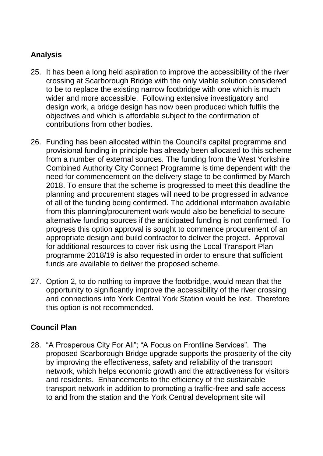# **Analysis**

- 25. It has been a long held aspiration to improve the accessibility of the river crossing at Scarborough Bridge with the only viable solution considered to be to replace the existing narrow footbridge with one which is much wider and more accessible. Following extensive investigatory and design work, a bridge design has now been produced which fulfils the objectives and which is affordable subject to the confirmation of contributions from other bodies.
- 26. Funding has been allocated within the Council's capital programme and provisional funding in principle has already been allocated to this scheme from a number of external sources. The funding from the West Yorkshire Combined Authority City Connect Programme is time dependent with the need for commencement on the delivery stage to be confirmed by March 2018. To ensure that the scheme is progressed to meet this deadline the planning and procurement stages will need to be progressed in advance of all of the funding being confirmed. The additional information available from this planning/procurement work would also be beneficial to secure alternative funding sources if the anticipated funding is not confirmed. To progress this option approval is sought to commence procurement of an appropriate design and build contractor to deliver the project. Approval for additional resources to cover risk using the Local Transport Plan programme 2018/19 is also requested in order to ensure that sufficient funds are available to deliver the proposed scheme.
- 27. Option 2, to do nothing to improve the footbridge, would mean that the opportunity to significantly improve the accessibility of the river crossing and connections into York Central York Station would be lost. Therefore this option is not recommended.

# **Council Plan**

28. "A Prosperous City For All"; "A Focus on Frontline Services". The proposed Scarborough Bridge upgrade supports the prosperity of the city by improving the effectiveness, safety and reliability of the transport network, which helps economic growth and the attractiveness for visitors and residents. Enhancements to the efficiency of the sustainable transport network in addition to promoting a traffic-free and safe access to and from the station and the York Central development site will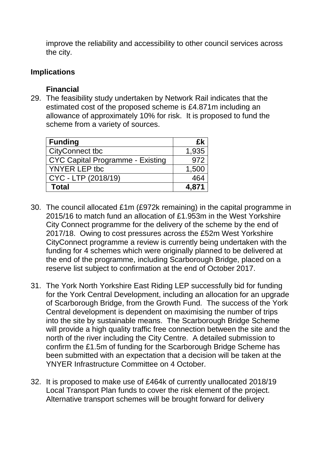improve the reliability and accessibility to other council services across the city.

#### **Implications**

#### **Financial**

29. The feasibility study undertaken by Network Rail indicates that the estimated cost of the proposed scheme is £4.871m including an allowance of approximately 10% for risk. It is proposed to fund the scheme from a variety of sources.

| <b>Funding</b>                          | £k    |
|-----------------------------------------|-------|
| CityConnect tbc                         | 1,935 |
| <b>CYC Capital Programme - Existing</b> | 972   |
| YNYER LEP tbc                           | 1,500 |
| CYC - LTP (2018/19)                     | 464   |
| <b>Total</b>                            | 4,871 |

- 30. The council allocated £1m (£972k remaining) in the capital programme in 2015/16 to match fund an allocation of £1.953m in the West Yorkshire City Connect programme for the delivery of the scheme by the end of 2017/18. Owing to cost pressures across the £52m West Yorkshire CityConnect programme a review is currently being undertaken with the funding for 4 schemes which were originally planned to be delivered at the end of the programme, including Scarborough Bridge, placed on a reserve list subject to confirmation at the end of October 2017.
- 31. The York North Yorkshire East Riding LEP successfully bid for funding for the York Central Development, including an allocation for an upgrade of Scarborough Bridge, from the Growth Fund. The success of the York Central development is dependent on maximising the number of trips into the site by sustainable means. The Scarborough Bridge Scheme will provide a high quality traffic free connection between the site and the north of the river including the City Centre. A detailed submission to confirm the £1.5m of funding for the Scarborough Bridge Scheme has been submitted with an expectation that a decision will be taken at the YNYER Infrastructure Committee on 4 October.
- 32. It is proposed to make use of £464k of currently unallocated 2018/19 Local Transport Plan funds to cover the risk element of the project. Alternative transport schemes will be brought forward for delivery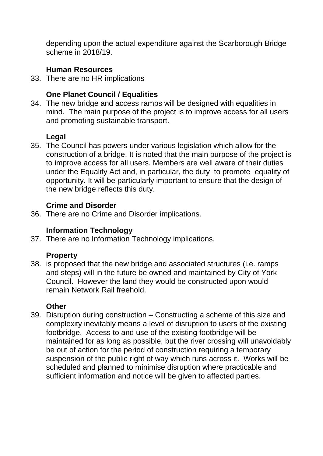depending upon the actual expenditure against the Scarborough Bridge scheme in 2018/19.

# **Human Resources**

33. There are no HR implications

# **One Planet Council / Equalities**

34. The new bridge and access ramps will be designed with equalities in mind. The main purpose of the project is to improve access for all users and promoting sustainable transport.

# **Legal**

35. The Council has powers under various legislation which allow for the construction of a bridge. It is noted that the main purpose of the project is to improve access for all users. Members are well aware of their duties under the Equality Act and, in particular, the duty to promote equality of opportunity. It will be particularly important to ensure that the design of the new bridge reflects this duty.

# **Crime and Disorder**

36. There are no Crime and Disorder implications.

# **Information Technology**

37. There are no Information Technology implications.

# **Property**

38. is proposed that the new bridge and associated structures (i.e. ramps and steps) will in the future be owned and maintained by City of York Council. However the land they would be constructed upon would remain Network Rail freehold.

# **Other**

39. Disruption during construction – Constructing a scheme of this size and complexity inevitably means a level of disruption to users of the existing footbridge. Access to and use of the existing footbridge will be maintained for as long as possible, but the river crossing will unavoidably be out of action for the period of construction requiring a temporary suspension of the public right of way which runs across it. Works will be scheduled and planned to minimise disruption where practicable and sufficient information and notice will be given to affected parties.